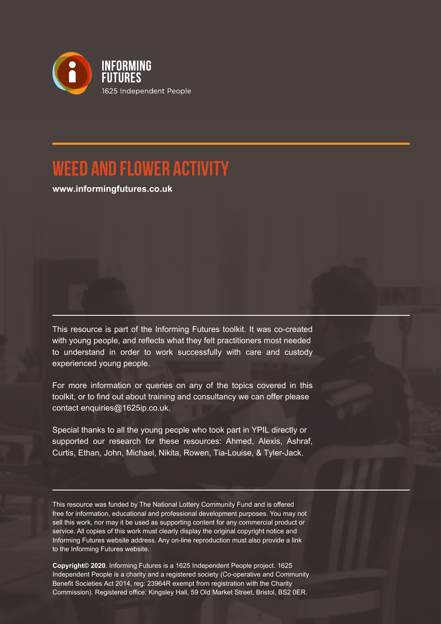

## **Weed and Flower Activity**

**www.informingfutures.co.uk**

This resource is part of the Informing Futures toolkit. It was co-created with young people, and reflects what they felt practitioners most needed to understand in order to work successfully with care and custody experienced young people.

For more information or queries on any of the topics covered in this toolkit, or to find out about training and consultancy we can offer please contact enquiries@1625ip.co.uk.

Special thanks to all the young people who took part in YPIL directly or supported our research for these resources: Ahmed, Alexis, Ashraf, Curtis, Ethan, John, Michael, Nikita, Rowen, Tia-Louise, & Tyler-Jack.

This resource was funded by The National Lottery Community Fund and is offered free for information, educational and professional development purposes. You may not sell this work, nor may it be used as supporting content for any commercial product or service. All copies of this work must clearly display the original copyright notice and Informing Futures website address. Any on-line reproduction must also provide a link to the Informing Futures website.

**Copyright© 2020**. Informing Futures is a 1625 Independent People project. 1625 Independent People is a charity and a registered society (Co-operative and Community Benefit Societies Act 2014, reg: 23964R exempt from registration with the Charity Commission). Registered office: Kingsley Hall, 59 Old Market Street, Bristol, BS2 0ER.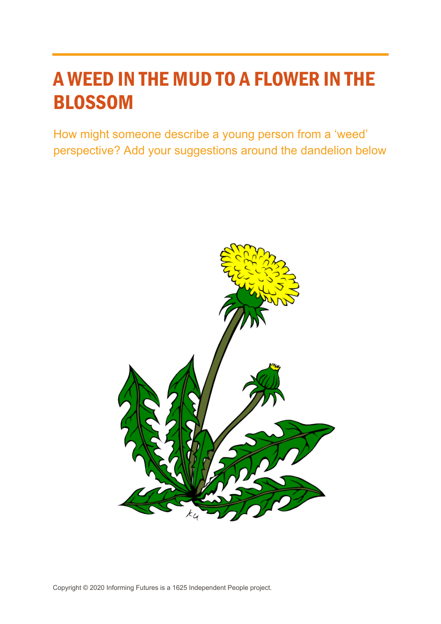## A WEED IN THE MUD TO A FLOWER IN THE BLOSSOM

How might someone describe a young person from a 'weed' perspective? Add your suggestions around the dandelion below